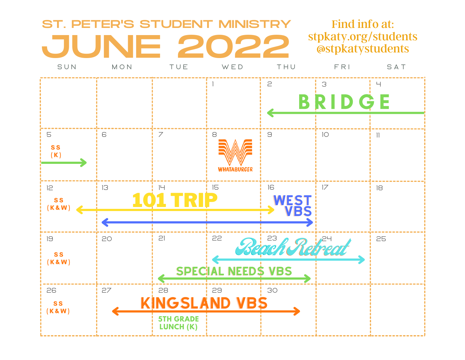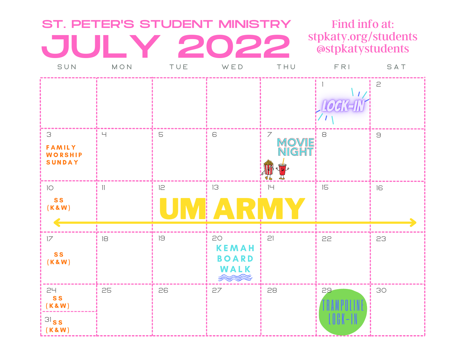